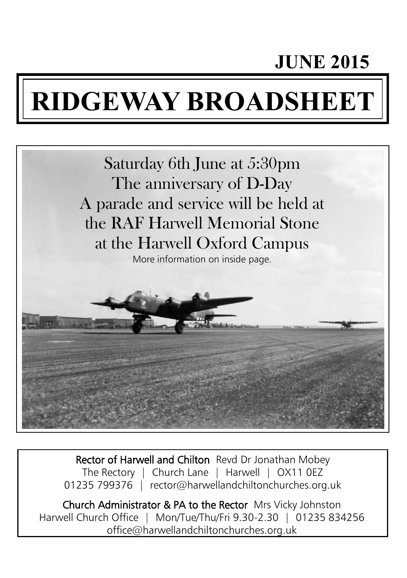# **JUNE 2015**

# **RIDGEWAY BROADSHEET**



Rector of Harwell and Chilton Revd Dr Jonathan Mobey The Rectory | Church Lane | Harwell | OX11 0EZ 01235 799376 | rector@harwellandchiltonchurches.org.uk

Church Administrator & PA to the Rector Mrs Vicky Johnston Harwell Church Office | Mon/Tue/Thu/Fri 9.30-2.30 | 01235 834256 office@harwellandchiltonchurches.org.uk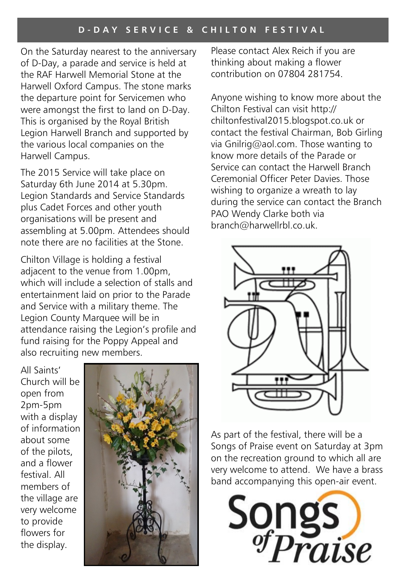On the Saturday nearest to the anniversary of D-Day, a parade and service is held at the RAF Harwell Memorial Stone at the Harwell Oxford Campus. The stone marks the departure point for Servicemen who were amongst the first to land on D-Day. This is organised by the Royal British Legion Harwell Branch and supported by the various local companies on the Harwell Campus.

The 2015 Service will take place on Saturday 6th June 2014 at 5.30pm. Legion Standards and Service Standards plus Cadet Forces and other youth organisations will be present and assembling at 5.00pm. Attendees should note there are no facilities at the Stone.

Chilton Village is holding a festival adjacent to the venue from 1.00pm, which will include a selection of stalls and entertainment laid on prior to the Parade and Service with a military theme. The Legion County Marquee will be in attendance raising the Legion's profile and fund raising for the Poppy Appeal and also recruiting new members.

All Saints' Church will be open from 2pm-5pm with a display of information about some of the pilots, and a flower festival. All members of the village are very welcome to provide flowers for the display.



Please contact Alex Reich if you are thinking about making a flower contribution on 07804 281754.

Anyone wishing to know more about the Chilton Festival can visit http:// chiltonfestival2015.blogspot.co.uk or contact the festival Chairman, Bob Girling via Gnilrig@aol.com. Those wanting to know more details of the Parade or Service can contact the Harwell Branch Ceremonial Officer Peter Davies. Those wishing to organize a wreath to lay during the service can contact the Branch PAO Wendy Clarke both via branch@harwellrbl.co.uk.



As part of the festival, there will be a Songs of Praise event on Saturday at 3pm on the recreation ground to which all are very welcome to attend. We have a brass band accompanying this open-air event.

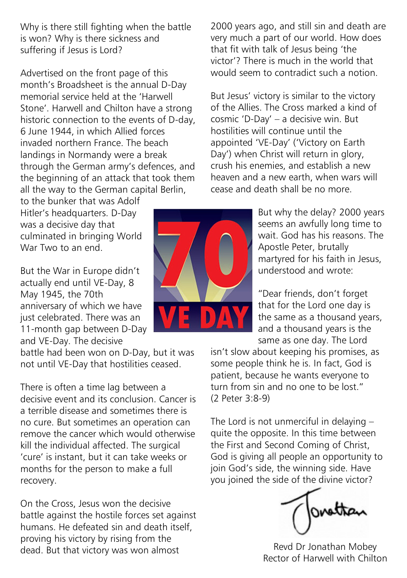Why is there still fighting when the battle is won? Why is there sickness and suffering if Jesus is Lord?

Advertised on the front page of this month's Broadsheet is the annual D-Day memorial service held at the 'Harwell Stone'. Harwell and Chilton have a strong historic connection to the events of D-day, 6 June 1944, in which Allied forces invaded northern France. The beach landings in Normandy were a break through the German army's defences, and the beginning of an attack that took them all the way to the German capital Berlin,

to the bunker that was Adolf Hitler's headquarters. D-Day was a decisive day that culminated in bringing World War Two to an end.

But the War in Europe didn't actually end until VE-Day, 8 May 1945, the 70th anniversary of which we have just celebrated. There was an 11-month gap between D-Day and VE-Day. The decisive

battle had been won on D-Day, but it was not until VE-Day that hostilities ceased.

There is often a time lag between a decisive event and its conclusion. Cancer is a terrible disease and sometimes there is no cure. But sometimes an operation can remove the cancer which would otherwise kill the individual affected. The surgical 'cure' is instant, but it can take weeks or months for the person to make a full recovery.

On the Cross, Jesus won the decisive battle against the hostile forces set against humans. He defeated sin and death itself. proving his victory by rising from the dead. But that victory was won almost

2000 years ago, and still sin and death are very much a part of our world. How does that fit with talk of Jesus being 'the victor'? There is much in the world that would seem to contradict such a notion.

But Jesus' victory is similar to the victory of the Allies. The Cross marked a kind of cosmic 'D-Day' – a decisive win. But hostilities will continue until the appointed 'VE-Day' ('Victory on Earth Day') when Christ will return in glory, crush his enemies, and establish a new heaven and a new earth, when wars will cease and death shall be no more.

> But why the delay? 2000 years seems an awfully long time to wait. God has his reasons. The Apostle Peter, brutally martyred for his faith in Jesus, understood and wrote:

"Dear friends, don't forget that for the Lord one day is the same as a thousand years, and a thousand years is the same as one day. The Lord

isn't slow about keeping his promises, as some people think he is. In fact, God is patient, because he wants everyone to turn from sin and no one to be lost." (2 Peter 3:8-9)

The Lord is not unmerciful in delaying – quite the opposite. In this time between the First and Second Coming of Christ, God is giving all people an opportunity to join God's side, the winning side. Have you joined the side of the divine victor?

ovettan

Revd Dr Jonathan Mobey Rector of Harwell with Chilton

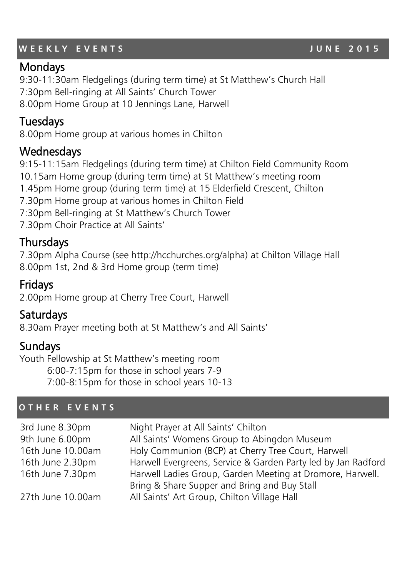# WEEKLY EVENTS **WEEKLY EVENTS**

# **Mondays**

9:30-11:30am Fledgelings (during term time) at St Matthew's Church Hall 7:30pm Bell-ringing at All Saints' Church Tower 8.00pm Home Group at 10 Jennings Lane, Harwell

# Tuesdays

8.00pm Home group at various homes in Chilton

# **Wednesdays**

9:15-11:15am Fledgelings (during term time) at Chilton Field Community Room 10.15am Home group (during term time) at St Matthew's meeting room 1.45pm Home group (during term time) at 15 Elderfield Crescent, Chilton 7.30pm Home group at various homes in Chilton Field 7:30pm Bell-ringing at St Matthew's Church Tower 7.30pm Choir Practice at All Saints'

# **Thursdays**

7.30pm Alpha Course (see http://hcchurches.org/alpha) at Chilton Village Hall 8.00pm 1st, 2nd & 3rd Home group (term time)

# Fridays

2.00pm Home group at Cherry Tree Court, Harwell

# Saturdays

8.30am Prayer meeting both at St Matthew's and All Saints'

# Sundays

Youth Fellowship at St Matthew's meeting room 6:00-7:15pm for those in school years 7-9 7:00-8:15pm for those in school years 10-13

#### **O T H E R E V E N T S**

| 3rd June 8.30pm   | Night Prayer at All Saints' Chilton                           |
|-------------------|---------------------------------------------------------------|
| 9th June 6.00pm   | All Saints' Womens Group to Abingdon Museum                   |
| 16th June 10.00am | Holy Communion (BCP) at Cherry Tree Court, Harwell            |
| 16th June 2.30pm  | Harwell Evergreens, Service & Garden Party led by Jan Radford |
| 16th June 7.30pm  | Harwell Ladies Group, Garden Meeting at Dromore, Harwell.     |
|                   | Bring & Share Supper and Bring and Buy Stall                  |
| 27th June 10.00am | All Saints' Art Group, Chilton Village Hall                   |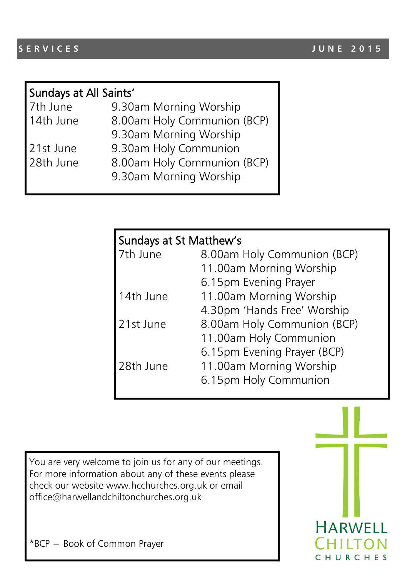| Sundays at All Saints' |  |
|------------------------|--|
|                        |  |

|   | 7th June |  |
|---|----------|--|
| A |          |  |

- 7th June 9.30am Morning Worship
- 14th June 8.00am Holy Communion (BCP)
	- 9.30am Morning Worship
- 21st June 9.30am Holy Communion
- 28th June 8.00am Holy Communion (BCP)
	- 9.30am Morning Worship

| Sundays at St Matthew's |                             |  |
|-------------------------|-----------------------------|--|
| 7th June                | 8.00am Holy Communion (BCP) |  |
|                         | 11.00am Morning Worship     |  |
|                         | 6.15pm Evening Prayer       |  |
| 14th June               | 11.00am Morning Worship     |  |
|                         | 4.30pm 'Hands Free' Worship |  |
| 21st June               | 8.00am Holy Communion (BCP) |  |
|                         | 11.00am Holy Communion      |  |
|                         | 6.15pm Evening Prayer (BCP) |  |
| 28th June               | 11.00am Morning Worship     |  |
|                         | 6.15pm Holy Communion       |  |

You are very welcome to join us for any of our meetings. For more information about any of these events please check our website www.hcchurches.org.uk or email office@harwellandchiltonchurches.org.uk

**HARWELL** CHURCHES

\*BCP = Book of Common Prayer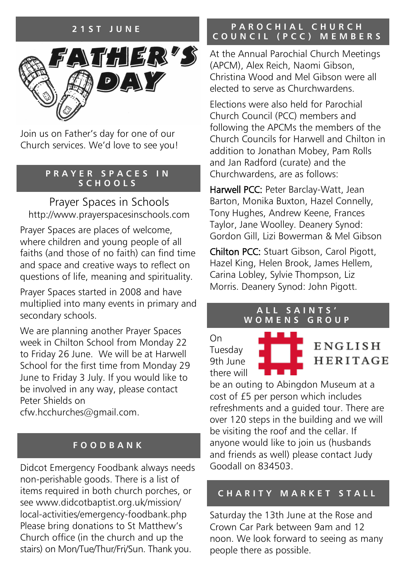### **2 1 S T J U N E**



Join us on Father's day for one of our Church services. We'd love to see you!

#### **P R A Y E R S P A C E S I N S C H O O L S**

Prayer Spaces in Schools http://www.prayerspacesinschools.com

Prayer Spaces are places of welcome, where children and young people of all faiths (and those of no faith) can find time and space and creative ways to reflect on questions of life, meaning and spirituality.

Prayer Spaces started in 2008 and have multiplied into many events in primary and secondary schools.

We are planning another Prayer Spaces week in Chilton School from Monday 22 to Friday 26 June. We will be at Harwell School for the first time from Monday 29 June to Friday 3 July. If you would like to be involved in any way, please contact Peter Shields on

cfw.hcchurches@gmail.com.

#### **F O O D B A N K**

Didcot Emergency Foodbank always needs non-perishable goods. There is a list of items required in both church porches, or see www.didcotbaptist.org.uk/mission/ local-activities/emergency-foodbank.php Please bring donations to St Matthew's Church office (in the church and up the stairs) on Mon/Tue/Thur/Fri/Sun. Thank you.

#### **PAROCHIAL CHURCH C O U N C I L ( P C C ) M E M B E R S**

At the Annual Parochial Church Meetings (APCM), Alex Reich, Naomi Gibson, Christina Wood and Mel Gibson were all elected to serve as Churchwardens.

Elections were also held for Parochial Church Council (PCC) members and following the APCMs the members of the Church Councils for Harwell and Chilton in addition to Jonathan Mobey, Pam Rolls and Jan Radford (curate) and the Churchwardens, are as follows:

Harwell PCC: Peter Barclay-Watt, Jean Barton, Monika Buxton, Hazel Connelly, Tony Hughes, Andrew Keene, Frances Taylor, Jane Woolley. Deanery Synod: Gordon Gill, Lizi Bowerman & Mel Gibson

Chilton PCC: Stuart Gibson, Carol Pigott, Hazel King, Helen Brook, James Hellem, Carina Lobley, Sylvie Thompson, Liz Morris. Deanery Synod: John Pigott.

#### **A L L S A I N T S ' W O M E N S G R O U P**

On Tuesday 9th June there will

ENGLISH **HERITAGE** 

be an outing to Abingdon Museum at a cost of £5 per person which includes refreshments and a guided tour. There are over 120 steps in the building and we will be visiting the roof and the cellar. If anyone would like to join us (husbands and friends as well) please contact Judy Goodall on 834503.

#### **C H A R I T Y M A R K E T S T A L L**

Saturday the 13th June at the Rose and Crown Car Park between 9am and 12 noon. We look forward to seeing as many people there as possible.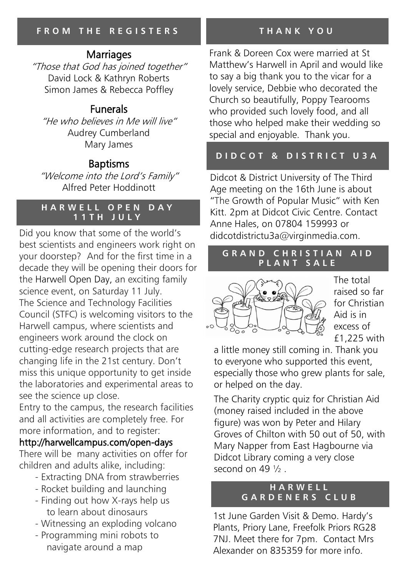# **Marriages**

"Those that God has joined together" David Lock & Kathryn Roberts Simon James & Rebecca Poffley

# Funerals

"He who believes in Me will live" Audrey Cumberland Mary James

# Baptisms

"Welcome into the Lord's Family" Alfred Peter Hoddinott

### **HARWELL OPEN DAY 1 1 T H J U L Y**

Did you know that some of the world's didcotdistrictu3a@virginmedia.com. best scientists and engineers work right on your doorstep? And for the first time in a decade they will be opening their doors for the [Harwell Open Day,](http://harwellcampus.com/open-days/) an exciting family science event, on Saturday 11 July. The Science and Technology Facilities Council (STFC) is welcoming visitors to the Harwell campus, where scientists and engineers work around the clock on cutting-edge research projects that are changing life in the 21st century. Don't miss this unique opportunity to get inside the laboratories and experimental areas to see the science up close.

Entry to the campus, the research facilities and all activities are completely free. For more information, and to register:

# [http://harwellcampus.com/open-days](http://harwellcampus.com/open-days/)

There will be many activities on offer for children and adults alike, including:

- Extracting DNA from strawberries
- Rocket building and launching
- Finding out how X-rays help us to learn about dinosaurs
- Witnessing an exploding volcano
- Programming mini robots to navigate around a map

# **T H A N K Y O U**

Frank & Doreen Cox were married at St Matthew's Harwell in April and would like to say a big thank you to the vicar for a lovely service, Debbie who decorated the Church so beautifully, Poppy Tearooms who provided such lovely food, and all those who helped make their wedding so special and enjoyable. Thank you.

# **D I D C O T & D I S T R I C T U 3 A**

Didcot & District University of The Third Age meeting on the 16th June is about "The Growth of Popular Music" with Ken Kitt. 2pm at Didcot Civic Centre. Contact Anne Hales, on 07804 159993 or

#### **GRAND CHRISTIAN AID P L A N T S A L E**



The total raised so far for Christian Aid is in excess of £1,225 with

a little money still coming in. Thank you to everyone who supported this event, especially those who grew plants for sale, or helped on the day.

The Charity cryptic quiz for Christian Aid (money raised included in the above figure) was won by Peter and Hilary Groves of Chilton with 50 out of 50, with Mary Napper from East Hagbourne via Didcot Library coming a very close second on  $49\frac{1}{2}$ .

#### **H A R W E L L G A R D E N E R S C L U B**

1st June Garden Visit & Demo. Hardy's Plants, Priory Lane, Freefolk Priors RG28 7NJ. Meet there for 7pm. Contact Mrs Alexander on 835359 for more info.